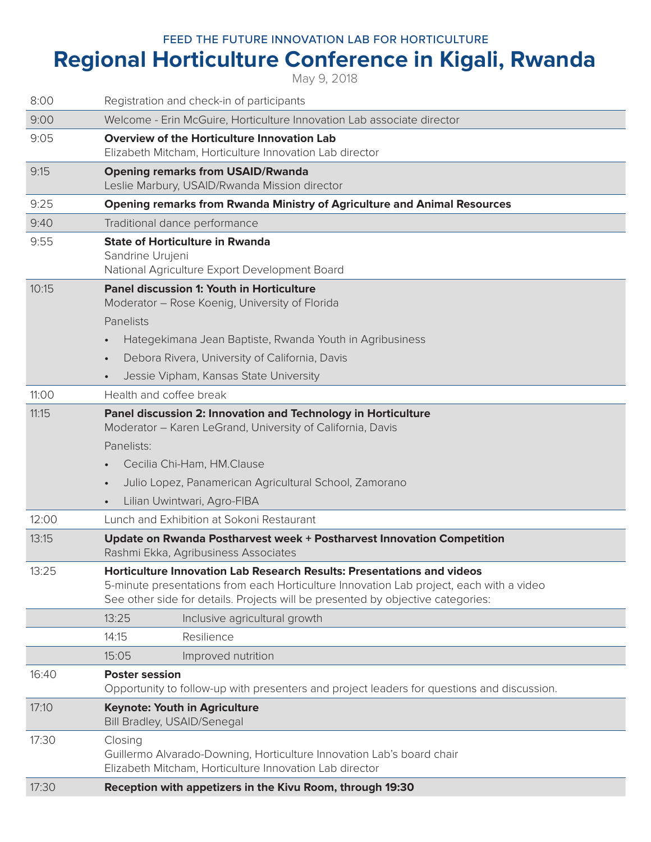## FEED THE FUTURE INNOVATION LAB FOR HORTICULTURE

## **Regional Horticulture Conference in Kigali, Rwanda**

May 9, 2018

| 8:00  | Registration and check-in of participants                                                                                                                                                                                                                                     |
|-------|-------------------------------------------------------------------------------------------------------------------------------------------------------------------------------------------------------------------------------------------------------------------------------|
| 9:00  | Welcome - Erin McGuire, Horticulture Innovation Lab associate director                                                                                                                                                                                                        |
| 9:05  | <b>Overview of the Horticulture Innovation Lab</b><br>Elizabeth Mitcham, Horticulture Innovation Lab director                                                                                                                                                                 |
| 9:15  | <b>Opening remarks from USAID/Rwanda</b><br>Leslie Marbury, USAID/Rwanda Mission director                                                                                                                                                                                     |
| 9:25  | <b>Opening remarks from Rwanda Ministry of Agriculture and Animal Resources</b>                                                                                                                                                                                               |
| 9:40  | Traditional dance performance                                                                                                                                                                                                                                                 |
| 9:55  | <b>State of Horticulture in Rwanda</b><br>Sandrine Urujeni<br>National Agriculture Export Development Board                                                                                                                                                                   |
| 10:15 | Panel discussion 1: Youth in Horticulture<br>Moderator – Rose Koenig, University of Florida<br>Panelists<br>Hategekimana Jean Baptiste, Rwanda Youth in Agribusiness<br>Debora Rivera, University of California, Davis<br>$\bullet$<br>Jessie Vipham, Kansas State University |
| 11:00 | Health and coffee break                                                                                                                                                                                                                                                       |
| 11:15 | Panel discussion 2: Innovation and Technology in Horticulture<br>Moderator - Karen LeGrand, University of California, Davis<br>Panelists:<br>Cecilia Chi-Ham, HM.Clause<br>Julio Lopez, Panamerican Agricultural School, Zamorano<br>Lilian Uwintwari, Agro-FIBA              |
| 12:00 | Lunch and Exhibition at Sokoni Restaurant                                                                                                                                                                                                                                     |
| 13:15 | Update on Rwanda Postharvest week + Postharvest Innovation Competition<br>Rashmi Ekka, Agribusiness Associates                                                                                                                                                                |
| 13:25 | Horticulture Innovation Lab Research Results: Presentations and videos<br>5-minute presentations from each Horticulture Innovation Lab project, each with a video<br>See other side for details. Projects will be presented by objective categories:                          |
|       | 13:25<br>Inclusive agricultural growth                                                                                                                                                                                                                                        |
|       | 14:15<br>Resilience                                                                                                                                                                                                                                                           |
|       | 15:05<br>Improved nutrition                                                                                                                                                                                                                                                   |
| 16:40 | <b>Poster session</b><br>Opportunity to follow-up with presenters and project leaders for questions and discussion.                                                                                                                                                           |
| 17:10 | <b>Keynote: Youth in Agriculture</b><br>Bill Bradley, USAID/Senegal                                                                                                                                                                                                           |
| 17:30 | Closing<br>Guillermo Alvarado-Downing, Horticulture Innovation Lab's board chair<br>Elizabeth Mitcham, Horticulture Innovation Lab director                                                                                                                                   |
| 17:30 | Reception with appetizers in the Kivu Room, through 19:30                                                                                                                                                                                                                     |